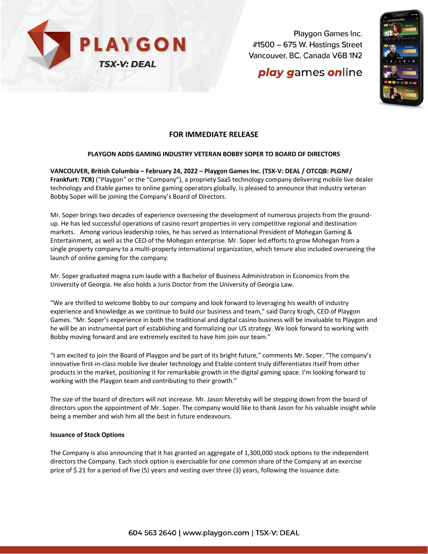

Playgon Games Inc. #1500 - 675 W. Hastings Street Vancouver, BC, Canada V6B 1N2

# **play games online**



### **FOR IMMEDIATE RELEASE**

### **PLAYGON ADDS GAMING INDUSTRY VETERAN BOBBY SOPER TO BOARD OF DIRECTORS**

**VANCOUVER, British Columbia – February 24, 2022 – Playgon Games Inc. (TSX-V: DEAL / OTCQB: PLGNF/ Frankfurt: 7CR)** ("Playgon" or the "Company"), a propriety SaaS technology company delivering mobile live dealer technology and Etable games to online gaming operators globally, is pleased to announce that industry veteran Bobby Soper will be joining the Company's Board of Directors.

Mr. Soper brings two decades of experience overseeing the development of numerous projects from the groundup. He has led successful operations of casino resort properties in very competitive regional and destination markets. Among various leadership roles, he has served as International President of Mohegan Gaming & Entertainment, as well as the CEO of the Mohegan enterprise. Mr. Soper led efforts to grow Mohegan from a single property company to a multi-property international organization, which tenure also included overseeing the launch of online gaming for the company.

Mr. Soper graduated magna cum laude with a Bachelor of Business Administration in Economics from the University of Georgia. He also holds a Juris Doctor from the University of Georgia Law.

"We are thrilled to welcome Bobby to our company and look forward to leveraging his wealth of industry experience and knowledge as we continue to build our business and team," said Darcy Krogh, CEO of Playgon Games. "Mr. Soper's experience in both the traditional and digital casino business will be invaluable to Playgon and he will be an instrumental part of establishing and formalizing our US strategy. We look forward to working with Bobby moving forward and are extremely excited to have him join our team."

"I am excited to join the Board of Playgon and be part of its bright future," comments Mr. Soper. "The company's innovative first-in-class mobile live dealer technology and Etable content truly differentiates itself from other products in the market, positioning it for remarkable growth in the digital gaming space. I'm looking forward to working with the Playgon team and contributing to their growth."

The size of the board of directors will not increase. Mr. Jason Meretsky will be stepping down from the board of directors upon the appointment of Mr. Soper. The company would like to thank Jason for his valuable insight while being a member and wish him all the best in future endeavours.

### **Issuance of Stock Options**

The Company is also announcing that it has granted an aggregate of 1,300,000 stock options to the independent directors the Company. Each stock option is exercisable for one common share of the Company at an exercise price of \$.21 for a period of five (5) years and vesting over three (3) years, following the issuance date.